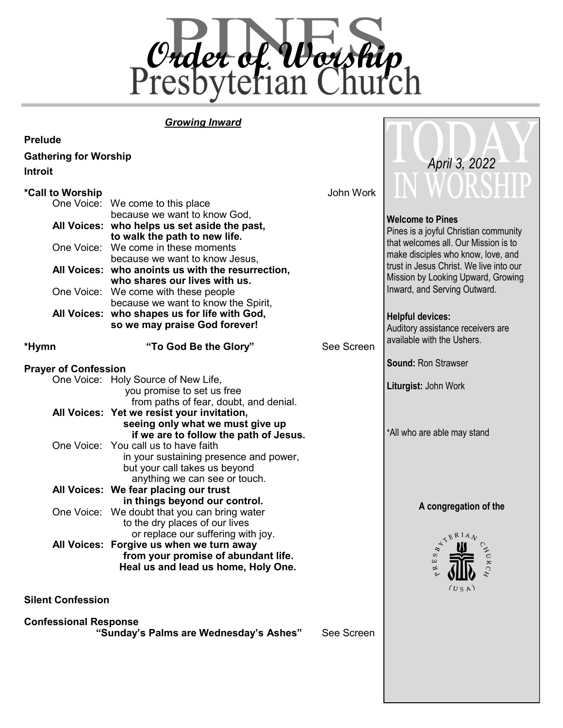

#### *Growing Inward*

| <b>Prelude</b>               |                                                                                |               |                                         |
|------------------------------|--------------------------------------------------------------------------------|---------------|-----------------------------------------|
| <b>Gathering for Worship</b> |                                                                                |               |                                         |
| <b>Introit</b>               |                                                                                | April 3, 2022 |                                         |
|                              |                                                                                |               | V WORSHIP                               |
| *Call to Worship             |                                                                                | John Work     |                                         |
|                              | One Voice: We come to this place                                               |               |                                         |
|                              | because we want to know God,                                                   |               | <b>Welcome to Pines</b>                 |
|                              | All Voices: who helps us set aside the past,                                   |               | Pines is a joyful Christian community   |
|                              | to walk the path to new life.<br>One Voice: We come in these moments           |               | that welcomes all. Our Mission is to    |
|                              | because we want to know Jesus,                                                 |               | make disciples who know, love, and      |
|                              | All Voices: who anoints us with the resurrection,                              |               | trust in Jesus Christ. We live into our |
|                              | who shares our lives with us.                                                  |               | Mission by Looking Upward, Growing      |
|                              | One Voice: We come with these people                                           |               | Inward, and Serving Outward.            |
|                              | because we want to know the Spirit,                                            |               |                                         |
|                              | All Voices: who shapes us for life with God,                                   |               | <b>Helpful devices:</b>                 |
|                              | so we may praise God forever!                                                  |               | Auditory assistance receivers are       |
| *Hymn                        | "To God Be the Glory"                                                          | See Screen    | available with the Ushers.              |
|                              |                                                                                |               |                                         |
| <b>Prayer of Confession</b>  |                                                                                |               | <b>Sound: Ron Strawser</b>              |
|                              | One Voice: Holy Source of New Life,                                            |               |                                         |
|                              | you promise to set us free                                                     |               | Liturgist: John Work                    |
|                              | from paths of fear, doubt, and denial.                                         |               |                                         |
|                              | All Voices: Yet we resist your invitation,                                     |               |                                         |
|                              | seeing only what we must give up<br>if we are to follow the path of Jesus.     |               | *All who are able may stand             |
|                              | One Voice: You call us to have faith                                           |               |                                         |
|                              | in your sustaining presence and power,                                         |               |                                         |
|                              | but your call takes us beyond                                                  |               |                                         |
|                              | anything we can see or touch.                                                  |               |                                         |
|                              | All Voices: We fear placing our trust                                          |               |                                         |
|                              | in things beyond our control.                                                  |               | A congregation of the                   |
|                              | One Voice: We doubt that you can bring water                                   |               |                                         |
|                              | to the dry places of our lives                                                 |               |                                         |
|                              | or replace our suffering with joy.<br>All Voices: Forgive us when we turn away |               | TERIAN                                  |
|                              | from your promise of abundant life.                                            |               | CHUR.<br>S                              |
|                              | Heal us and lead us home, Holy One.                                            |               | $\Xi$<br>以                              |
|                              |                                                                                |               |                                         |
|                              |                                                                                |               | (USA)                                   |
| <b>Silent Confession</b>     |                                                                                |               |                                         |
| <b>Confessional Response</b> |                                                                                |               |                                         |

 **"Sunday's Palms are Wednesday's Ashes"** See Screen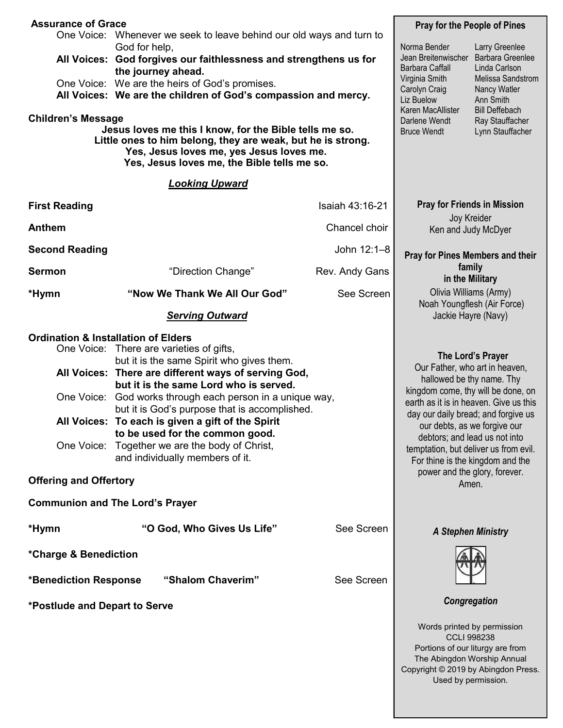|                                                                                                                                                                                                                                                                                                                                             | <b>Assurance of Grace</b><br>One Voice: Whenever we seek to leave behind our old ways and turn to                                                                                                                                                                                                                                                                                                                                                            |                                                                                                                                                                       | <b>Pray for the People of Pines</b>                                                                                                                                                                                                                                                                                                                               |                   |  |
|---------------------------------------------------------------------------------------------------------------------------------------------------------------------------------------------------------------------------------------------------------------------------------------------------------------------------------------------|--------------------------------------------------------------------------------------------------------------------------------------------------------------------------------------------------------------------------------------------------------------------------------------------------------------------------------------------------------------------------------------------------------------------------------------------------------------|-----------------------------------------------------------------------------------------------------------------------------------------------------------------------|-------------------------------------------------------------------------------------------------------------------------------------------------------------------------------------------------------------------------------------------------------------------------------------------------------------------------------------------------------------------|-------------------|--|
| All Voices: God forgives our faithlessness and strengthens us for<br>One Voice: We are the heirs of God's promises.<br>All Voices: We are the children of God's compassion and mercy.<br><b>Children's Message</b><br>Jesus loves me this I know, for the Bible tells me so.<br>Little ones to him belong, they are weak, but he is strong. | Norma Bender<br>Jean Breitenwischer<br>Barbara Caffall<br>Virginia Smith<br>Carolyn Craig<br>Liz Buelow<br>Karen MacAllister<br>Darlene Wendt<br><b>Bruce Wendt</b>                                                                                                                                                                                                                                                                                          | Larry Greenlee<br>Barbara Greenlee<br>Linda Carlson<br>Melissa Sandstrom<br>Nancy Watler<br>Ann Smith<br><b>Bill Deffebach</b><br>Ray Stauffacher<br>Lynn Stauffacher |                                                                                                                                                                                                                                                                                                                                                                   |                   |  |
|                                                                                                                                                                                                                                                                                                                                             | Yes, Jesus loves me, the Bible tells me so.<br><b>Looking Upward</b>                                                                                                                                                                                                                                                                                                                                                                                         |                                                                                                                                                                       |                                                                                                                                                                                                                                                                                                                                                                   |                   |  |
| <b>First Reading</b>                                                                                                                                                                                                                                                                                                                        |                                                                                                                                                                                                                                                                                                                                                                                                                                                              | Isaiah 43:16-21                                                                                                                                                       | <b>Pray for Friends in Mission</b>                                                                                                                                                                                                                                                                                                                                |                   |  |
| <b>Anthem</b>                                                                                                                                                                                                                                                                                                                               |                                                                                                                                                                                                                                                                                                                                                                                                                                                              | Chancel choir                                                                                                                                                         | Joy Kreider<br>Ken and Judy McDyer                                                                                                                                                                                                                                                                                                                                |                   |  |
| <b>Second Reading</b>                                                                                                                                                                                                                                                                                                                       |                                                                                                                                                                                                                                                                                                                                                                                                                                                              | John 12:1-8                                                                                                                                                           | <b>Pray for Pines Members and their</b>                                                                                                                                                                                                                                                                                                                           |                   |  |
| <b>Sermon</b>                                                                                                                                                                                                                                                                                                                               | "Direction Change"                                                                                                                                                                                                                                                                                                                                                                                                                                           | Rev. Andy Gans                                                                                                                                                        | family<br>in the Military                                                                                                                                                                                                                                                                                                                                         |                   |  |
| *Hymn                                                                                                                                                                                                                                                                                                                                       | "Now We Thank We All Our God"                                                                                                                                                                                                                                                                                                                                                                                                                                | See Screen                                                                                                                                                            | Olivia Williams (Army)<br>Noah Youngflesh (Air Force)                                                                                                                                                                                                                                                                                                             |                   |  |
|                                                                                                                                                                                                                                                                                                                                             | <b>Serving Outward</b>                                                                                                                                                                                                                                                                                                                                                                                                                                       |                                                                                                                                                                       | Jackie Hayre (Navy)                                                                                                                                                                                                                                                                                                                                               |                   |  |
| <b>Ordination &amp; Installation of Elders</b><br>One Voice:<br>One Voice:                                                                                                                                                                                                                                                                  | One Voice: There are varieties of gifts,<br>but it is the same Spirit who gives them.<br>All Voices: There are different ways of serving God,<br>but it is the same Lord who is served.<br>God works through each person in a unique way,<br>but it is God's purpose that is accomplished.<br>All Voices: To each is given a gift of the Spirit<br>to be used for the common good.<br>Together we are the body of Christ,<br>and individually members of it. |                                                                                                                                                                       | Our Father, who art in heaven,<br>hallowed be thy name. Thy<br>kingdom come, thy will be done, on<br>earth as it is in heaven. Give us this<br>day our daily bread; and forgive us<br>our debts, as we forgive our<br>debtors; and lead us not into<br>temptation, but deliver us from evil.<br>For thine is the kingdom and the<br>power and the glory, forever. | The Lord's Prayer |  |
| <b>Offering and Offertory</b>                                                                                                                                                                                                                                                                                                               |                                                                                                                                                                                                                                                                                                                                                                                                                                                              |                                                                                                                                                                       | Amen.                                                                                                                                                                                                                                                                                                                                                             |                   |  |
|                                                                                                                                                                                                                                                                                                                                             | <b>Communion and The Lord's Prayer</b>                                                                                                                                                                                                                                                                                                                                                                                                                       |                                                                                                                                                                       |                                                                                                                                                                                                                                                                                                                                                                   |                   |  |
| *Hymn                                                                                                                                                                                                                                                                                                                                       | "O God, Who Gives Us Life"                                                                                                                                                                                                                                                                                                                                                                                                                                   | See Screen                                                                                                                                                            | <b>A Stephen Ministry</b>                                                                                                                                                                                                                                                                                                                                         |                   |  |
| *Charge & Benediction<br>*Benediction Response<br>*Postlude and Depart to Serve                                                                                                                                                                                                                                                             | "Shalom Chaverim"                                                                                                                                                                                                                                                                                                                                                                                                                                            | See Screen                                                                                                                                                            | Congregation                                                                                                                                                                                                                                                                                                                                                      |                   |  |
|                                                                                                                                                                                                                                                                                                                                             |                                                                                                                                                                                                                                                                                                                                                                                                                                                              |                                                                                                                                                                       | Words printed by permission<br><b>CCLI 998238</b><br>Portions of our liturgy are from<br>The Abingdon Worship Annual                                                                                                                                                                                                                                              |                   |  |

Copyright © 2019 by Abingdon Press. Used by permission.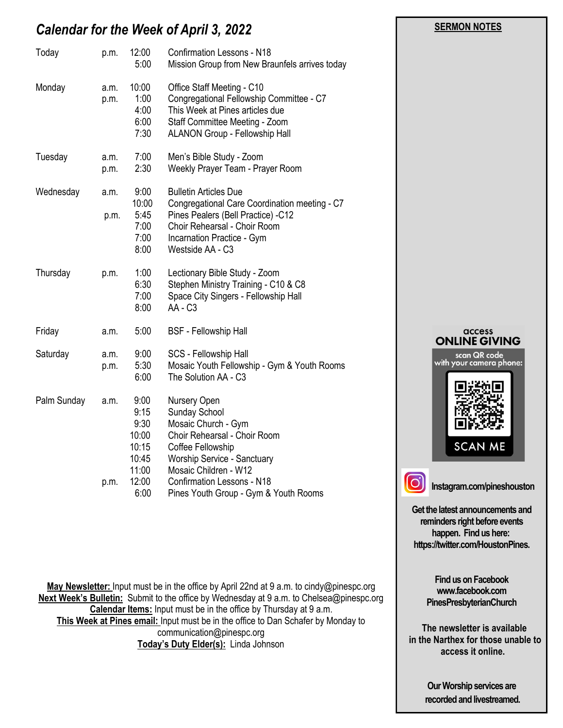# *Calendar for the Week of April 3, 2022*

| Today       | p.m.         | 12:00<br>5:00                                                             | <b>Confirmation Lessons - N18</b><br>Mission Group from New Braunfels arrives today                                                                                                                                                             |  |
|-------------|--------------|---------------------------------------------------------------------------|-------------------------------------------------------------------------------------------------------------------------------------------------------------------------------------------------------------------------------------------------|--|
| Monday      | a.m.<br>p.m. | 10:00<br>1:00<br>4:00<br>6:00<br>7:30                                     | Office Staff Meeting - C10<br>Congregational Fellowship Committee - C7<br>This Week at Pines articles due<br>Staff Committee Meeting - Zoom<br><b>ALANON Group - Fellowship Hall</b>                                                            |  |
| Tuesday     | a.m.<br>p.m. | 7:00<br>2:30                                                              | Men's Bible Study - Zoom<br>Weekly Prayer Team - Prayer Room                                                                                                                                                                                    |  |
| Wednesday   | a.m.<br>p.m. | 9:00<br>10:00<br>5:45<br>7:00<br>7:00<br>8:00                             | <b>Bulletin Articles Due</b><br>Congregational Care Coordination meeting - C7<br>Pines Pealers (Bell Practice) -C12<br>Choir Rehearsal - Choir Room<br>Incarnation Practice - Gym<br>Westside AA - C3                                           |  |
| Thursday    | p.m.         | 1:00<br>6:30<br>7:00<br>8:00                                              | Lectionary Bible Study - Zoom<br>Stephen Ministry Training - C10 & C8<br>Space City Singers - Fellowship Hall<br>AA - C <sub>3</sub>                                                                                                            |  |
| Friday      | a.m.         | 5:00                                                                      | <b>BSF</b> - Fellowship Hall                                                                                                                                                                                                                    |  |
| Saturday    | a.m.<br>p.m. | 9:00<br>5:30<br>6:00                                                      | SCS - Fellowship Hall<br>Mosaic Youth Fellowship - Gym & Youth Rooms<br>The Solution AA - C3                                                                                                                                                    |  |
| Palm Sunday | a.m.<br>p.m. | 9:00<br>9:15<br>9:30<br>10:00<br>10:15<br>10:45<br>11:00<br>12:00<br>6:00 | Nursery Open<br>Sunday School<br>Mosaic Church - Gym<br>Choir Rehearsal - Choir Room<br>Coffee Fellowship<br>Worship Service - Sanctuary<br>Mosaic Children - W12<br><b>Confirmation Lessons - N18</b><br>Pines Youth Group - Gym & Youth Rooms |  |

**May Newsletter:** Input must be in the office by April 22nd at 9 a.m. to cindy@pinespc.org **Next Week's Bulletin:** Submit to the office by Wednesday at 9 a.m. to Chelsea@pinespc.org **Calendar Items:** Input must be in the office by Thursday at 9 a.m. **This Week at Pines email:** Input must be in the office to Dan Schafer by Monday to communication@pinespc.org **Today's Duty Elder(s):** Linda Johnson

# access **ONLINE GIVING** scan QR code<br>with your camera phone: **SCAN ME**

 **SERMON NOTES** 

**Instagram.com/pineshouston**

**Get the latest announcements and reminders right before events happen. Find us here: https://twitter.com/HoustonPines.** 

> **Find us on Facebook www.facebook.com PinesPresbyterianChurch**

 **The newsletter is available in the Narthex for those unable to access it online.**

> **Our Worship services are recorded and livestreamed.**